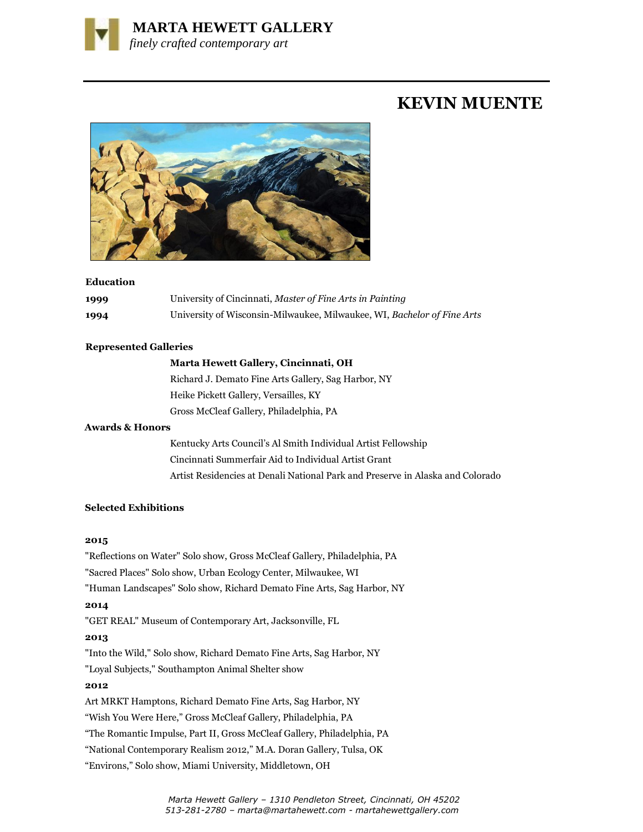

# **KEVIN MUENTE**



### **Education**

| 1999 | University of Cincinnati, Master of Fine Arts in Painting               |
|------|-------------------------------------------------------------------------|
| 1994 | University of Wisconsin-Milwaukee, Milwaukee, WI, Bachelor of Fine Arts |

## **Represented Galleries**

## **Marta Hewett Gallery, Cincinnati, OH**

Richard J. Demato Fine Arts Gallery, Sag Harbor, NY Heike Pickett Gallery, Versailles, KY Gross McCleaf Gallery, Philadelphia, PA

## **Awards & Honors**

Kentucky Arts Council's Al Smith Individual Artist Fellowship Cincinnati Summerfair Aid to Individual Artist Grant Artist Residencies at Denali National Park and Preserve in Alaska and Colorado

## **Selected Exhibitions**

### **2015**

"Reflections on Water" Solo show, Gross McCleaf Gallery, Philadelphia, PA "Sacred Places" Solo show, Urban Ecology Center, Milwaukee, WI "Human Landscapes" Solo show, Richard Demato Fine Arts, Sag Harbor, NY **2014** "GET REAL" Museum of Contemporary Art, Jacksonville, FL **2013**  "Into the Wild," Solo show, Richard Demato Fine Arts, Sag Harbor, NY "Loyal Subjects," Southampton Animal Shelter show **2012** Art MRKT Hamptons, Richard Demato Fine Arts, Sag Harbor, NY "Wish You Were Here," Gross McCleaf Gallery, Philadelphia, PA "The Romantic Impulse, Part II, Gross McCleaf Gallery, Philadelphia, PA "National Contemporary Realism 2012," M.A. Doran Gallery, Tulsa, OK "Environs," Solo show, Miami University, Middletown, OH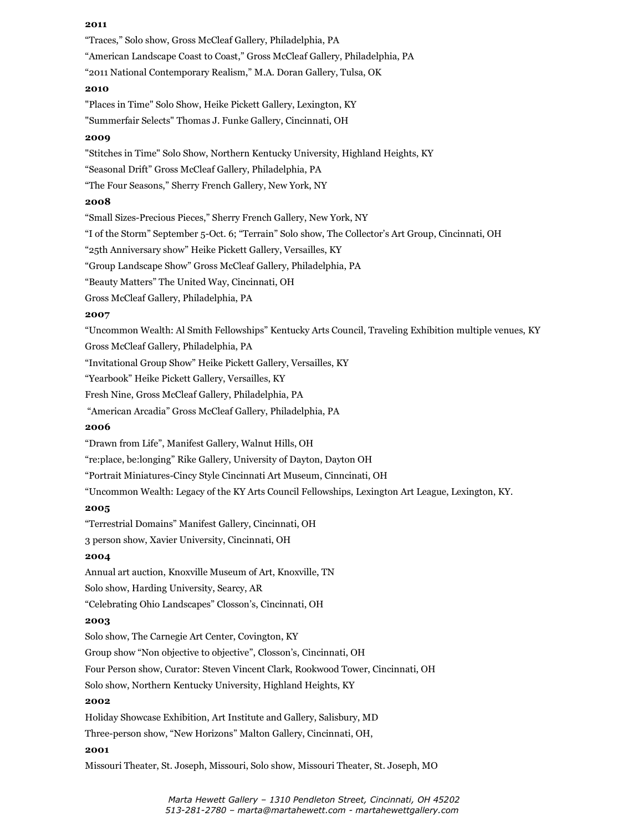#### **2011**

"Traces," Solo show, Gross McCleaf Gallery, Philadelphia, PA "American Landscape Coast to Coast," Gross McCleaf Gallery, Philadelphia, PA "2011 National Contemporary Realism," M.A. Doran Gallery, Tulsa, OK **2010** "Places in Time" Solo Show, Heike Pickett Gallery, Lexington, KY "Summerfair Selects" Thomas J. Funke Gallery, Cincinnati, OH **2009** "Stitches in Time" Solo Show, Northern Kentucky University, Highland Heights, KY "Seasonal Drift" Gross McCleaf Gallery, Philadelphia, PA "The Four Seasons," Sherry French Gallery, New York, NY **2008** "Small Sizes-Precious Pieces," Sherry French Gallery, New York, NY "I of the Storm" September 5-Oct. 6; "Terrain" Solo show, The Collector's Art Group, Cincinnati, OH "25th Anniversary show" Heike Pickett Gallery, Versailles, KY "Group Landscape Show" Gross McCleaf Gallery, Philadelphia, PA "Beauty Matters" The United Way, Cincinnati, OH Gross McCleaf Gallery, Philadelphia, PA **2007** "Uncommon Wealth: Al Smith Fellowships" Kentucky Arts Council, Traveling Exhibition multiple venues, KY Gross McCleaf Gallery, Philadelphia, PA "Invitational Group Show" Heike Pickett Gallery, Versailles, KY "Yearbook" Heike Pickett Gallery, Versailles, KY Fresh Nine, Gross McCleaf Gallery, Philadelphia, PA "American Arcadia" Gross McCleaf Gallery, Philadelphia, PA **2006** "Drawn from Life", Manifest Gallery, Walnut Hills, OH "re:place, be:longing" Rike Gallery, University of Dayton, Dayton OH "Portrait Miniatures-Cincy Style Cincinnati Art Museum, Cinncinati, OH "Uncommon Wealth: Legacy of the KY Arts Council Fellowships, Lexington Art League, Lexington, KY. **2005** "Terrestrial Domains" Manifest Gallery, Cincinnati, OH 3 person show, Xavier University, Cincinnati, OH **2004** Annual art auction, Knoxville Museum of Art, Knoxville, TN Solo show, Harding University, Searcy, AR "Celebrating Ohio Landscapes" Closson's, Cincinnati, OH **2003** Solo show, The Carnegie Art Center, Covington, KY Group show "Non objective to objective", Closson's, Cincinnati, OH Four Person show, Curator: Steven Vincent Clark, Rookwood Tower, Cincinnati, OH Solo show, Northern Kentucky University, Highland Heights, KY **2002** Holiday Showcase Exhibition, Art Institute and Gallery, Salisbury, MD Three-person show, "New Horizons" Malton Gallery, Cincinnati, OH, **2001**

Missouri Theater, St. Joseph, Missouri, Solo show, Missouri Theater, St. Joseph, MO

 *Marta Hewett Gallery – 1310 Pendleton Street, Cincinnati, OH 45202 513-281-2780 – marta@martahewett.com - martahewettgallery.com*